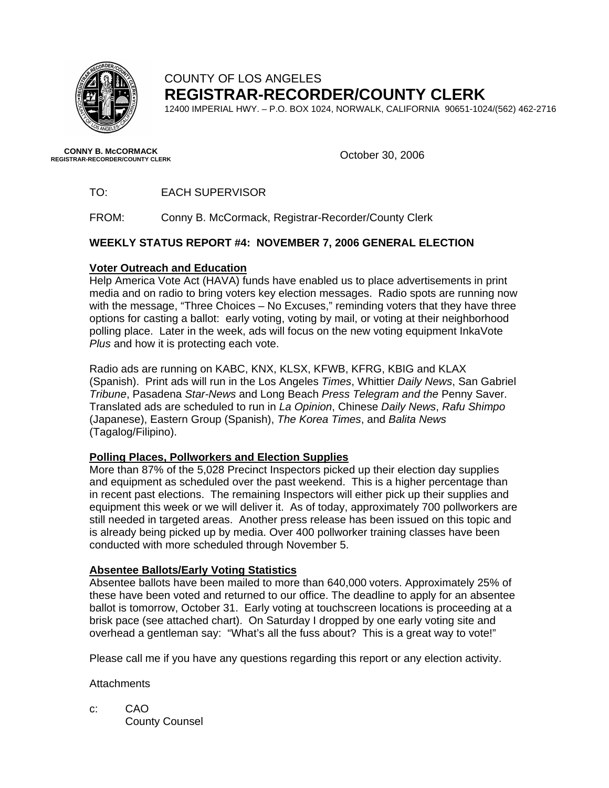

# COUNTY OF LOS ANGELES **REGISTRAR-RECORDER/COUNTY CLERK**

12400 IMPERIAL HWY. – P.O. BOX 1024, NORWALK, CALIFORNIA 90651-1024/(562) 462-2716

October 30, 2006 **CONNY B. McCORMACK REGISTRAR-RECORDER/COUNTY CLERK** 

TO: EACH SUPERVISOR

FROM: Conny B. McCormack, Registrar-Recorder/County Clerk

#### **WEEKLY STATUS REPORT #4: NOVEMBER 7, 2006 GENERAL ELECTION**

#### **Voter Outreach and Education**

Help America Vote Act (HAVA) funds have enabled us to place advertisements in print media and on radio to bring voters key election messages. Radio spots are running now with the message, "Three Choices - No Excuses," reminding voters that they have three options for casting a ballot: early voting, voting by mail, or voting at their neighborhood polling place. Later in the week, ads will focus on the new voting equipment InkaVote *Plus* and how it is protecting each vote.

Radio ads are running on KABC, KNX, KLSX, KFWB, KFRG, KBIG and KLAX (Spanish). Print ads will run in the Los Angeles *Times*, Whittier *Daily News*, San Gabriel *Tribune*, Pasadena *Star-News* and Long Beach *Press Telegram and the* Penny Saver. Translated ads are scheduled to run in *La Opinion*, Chinese *Daily News*, *Rafu Shimpo* (Japanese), Eastern Group (Spanish), *The Korea Times*, and *Balita News* (Tagalog/Filipino).

#### **Polling Places, Pollworkers and Election Supplies**

More than 87% of the 5,028 Precinct Inspectors picked up their election day supplies and equipment as scheduled over the past weekend. This is a higher percentage than in recent past elections. The remaining Inspectors will either pick up their supplies and equipment this week or we will deliver it. As of today, approximately 700 pollworkers are still needed in targeted areas. Another press release has been issued on this topic and is already being picked up by media. Over 400 pollworker training classes have been conducted with more scheduled through November 5.

## **Absentee Ballots/Early Voting Statistics**

Absentee ballots have been mailed to more than 640,000 voters. Approximately 25% of these have been voted and returned to our office. The deadline to apply for an absentee ballot is tomorrow, October 31. Early voting at touchscreen locations is proceeding at a brisk pace (see attached chart). On Saturday I dropped by one early voting site and overhead a gentleman say: "What's all the fuss about? This is a great way to vote!"

Please call me if you have any questions regarding this report or any election activity.

**Attachments** 

c: CAO County Counsel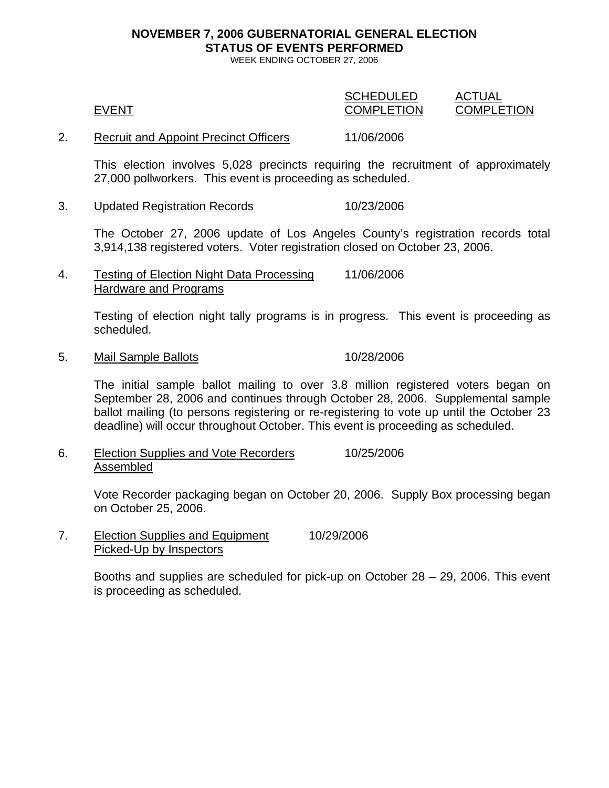# **NOVEMBER 7, 2006 GUBERNATORIAL GENERAL ELECTION STATUS OF EVENTS PERFORMED**

WEEK ENDING OCTOBER 27, 2006

| <b>EVENT</b>                                 | <b>SCHEDULED</b><br><b>COMPLETION</b> | ACTUAL<br><b>COMPLETION</b> |
|----------------------------------------------|---------------------------------------|-----------------------------|
| <b>Recruit and Appoint Precinct Officers</b> | 11/06/2006                            |                             |

This election involves 5,028 precincts requiring the recruitment of approximately 27,000 pollworkers. This event is proceeding as scheduled.

3. Updated Registration Records 10/23/2006

The October 27, 2006 update of Los Angeles County's registration records total 3,914,138 registered voters. Voter registration closed on October 23, 2006.

4. Testing of Election Night Data Processing 11/06/2006 Hardware and Programs

> Testing of election night tally programs is in progress. This event is proceeding as scheduled.

5. Mail Sample Ballots 10/28/2006

The initial sample ballot mailing to over 3.8 million registered voters began on September 28, 2006 and continues through October 28, 2006. Supplemental sample ballot mailing (to persons registering or re-registering to vote up until the October 23 deadline) will occur throughout October. This event is proceeding as scheduled.

6. Election Supplies and Vote Recorders 10/25/2006 Assembled

> Vote Recorder packaging began on October 20, 2006. Supply Box processing began on October 25, 2006.

7. Election Supplies and Equipment 10/29/2006 Picked-Up by Inspectors

> Booths and supplies are scheduled for pick-up on October 28 – 29, 2006. This event is proceeding as scheduled.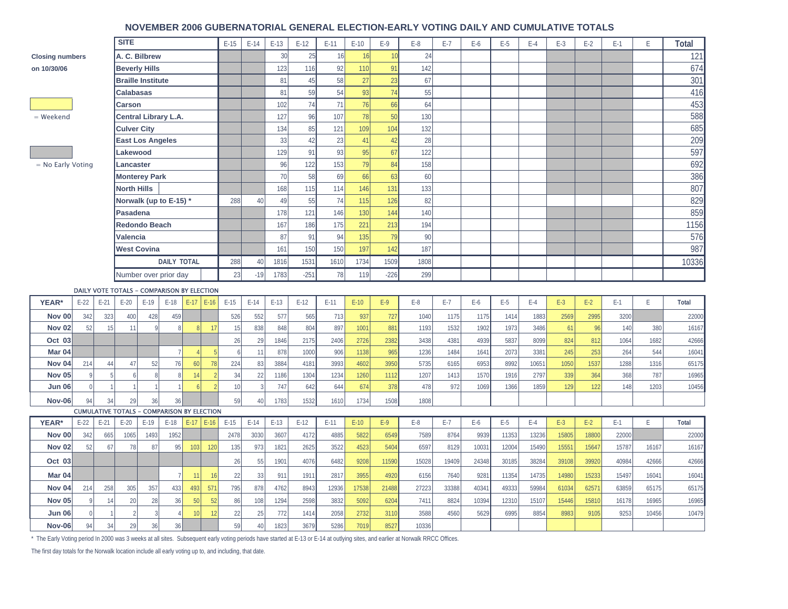#### **NOVEMBER 2006 GUBERNATORIAL GENERAL ELECTION-EARLY VOTING DAILY AND CUMULATIVE TOTALS**

|                                         |             |        | <b>SITE</b>                 |                      |                                                   |        |                 | $E-15$ | $E-14$         | $E-13$ | $E-12$ | $E-11$ | $E-10$ | $E-9$  | $E-8$ | $E-7$ | $E-6$ | E-5   | $E-4$ | $E-3$ | $E-2$ | $E-1$ | E     | <b>Total</b> |
|-----------------------------------------|-------------|--------|-----------------------------|----------------------|---------------------------------------------------|--------|-----------------|--------|----------------|--------|--------|--------|--------|--------|-------|-------|-------|-------|-------|-------|-------|-------|-------|--------------|
| A. C. Bilbrew<br><b>Closing numbers</b> |             |        |                             |                      |                                                   | 30     | 25              | 16     | 16             | 10     | 24     |        |        |        |       |       |       |       |       | 121   |       |       |       |              |
| on 10/30/06<br><b>Beverly Hills</b>     |             |        |                             |                      | 123                                               | 116    | 92              | 110    | 91             | 142    |        |        |        |        |       |       |       |       | 674   |       |       |       |       |              |
|                                         |             |        | <b>Braille Institute</b>    |                      |                                                   |        |                 |        |                | 81     | 45     | 58     | 27     | 23     | 67    |       |       |       |       |       |       |       |       | 301          |
|                                         |             |        | <b>Calabasas</b>            |                      |                                                   |        | 81              | 59     | 54             | 93     | 74     | 55     |        |        |       |       |       |       |       |       | 416   |       |       |              |
| <b>Carson</b>                           |             |        |                             |                      |                                                   | 102    | 74              | 71     | 76             | 66     | 64     |        |        |        |       |       |       |       |       | 453   |       |       |       |              |
| = Weekend                               |             |        | <b>Central Library L.A.</b> |                      |                                                   |        | 127             | 96     | 107            | 78     | 50     | 130    |        |        |       |       |       |       |       |       | 588   |       |       |              |
|                                         |             |        | <b>Culver City</b>          |                      |                                                   |        |                 |        |                | 134    | 85     | 121    | 109    | 104    | 132   |       |       |       |       |       |       |       |       | 685          |
| <b>East Los Angeles</b>                 |             |        |                             |                      |                                                   | 33     | 42              | 23     | 41             | 42     | 28     |        |        |        |       |       |       |       |       | 209   |       |       |       |              |
|                                         |             |        | Lakewood                    |                      |                                                   |        | 129             | 91     | 93             | 95     | 67     | 122    |        |        |       |       |       |       |       |       | 597   |       |       |              |
| = No Early Voting                       |             |        | Lancaster                   |                      |                                                   |        |                 | 96     | 122            | 153    | 79     | 84     | 158    |        |       |       |       |       |       |       |       | 692   |       |              |
|                                         |             |        |                             | <b>Monterey Park</b> |                                                   |        |                 |        | 70             | 58     | 69     | 66     | 63     | 60     |       |       |       |       |       |       |       |       | 386   |              |
|                                         |             |        | <b>North Hills</b>          |                      |                                                   |        |                 | 168    | 115            | 114    | 146    | 131    | 133    |        |       |       |       |       |       |       |       | 807   |       |              |
|                                         |             |        |                             |                      | Norwalk (up to E-15) *                            |        |                 | 288    | 40             | 49     | 55     | 74     | 115    | 126    | 82    |       |       |       |       |       |       |       |       | 829          |
|                                         |             |        |                             | Pasadena             |                                                   |        |                 |        |                | 178    | 121    | 146    | 130    | 144    | 140   |       |       |       |       |       |       |       |       | 859          |
|                                         |             |        |                             | <b>Redondo Beach</b> |                                                   |        |                 |        |                | 167    | 186    | 175    | 221    | 213    | 194   |       |       |       |       |       |       |       |       | 1156         |
|                                         |             |        | <b>Valencia</b>             |                      |                                                   |        |                 |        |                | 87     | 91     | 94     | 135    | 79     | 90    |       |       |       |       |       |       |       |       | 576          |
|                                         |             |        | <b>West Covina</b>          |                      |                                                   |        |                 |        |                | 161    | 150    | 150    | 197    | 142    | 187   |       |       |       |       |       |       |       |       | 987          |
|                                         |             |        |                             |                      | <b>DAILY TOTAL</b>                                |        |                 | 288    | 40             | 1816   | 1531   | 1610   | 1734   | 1509   | 1808  |       |       |       |       |       |       |       |       | 10336        |
|                                         |             |        |                             |                      | Number over prior day                             |        |                 | 23     | $-19$          | 1783   | $-251$ | 78     | 119    | $-226$ | 299   |       |       |       |       |       |       |       |       |              |
|                                         |             |        |                             |                      | DAILY VOTE TOTALS - COMPARISON BY ELECTION        |        |                 |        |                |        |        |        |        |        |       |       |       |       |       |       |       |       |       |              |
| YEAR*                                   | $E-22$      | $E-21$ | $E-20$                      | $E-19$               | $E-18$                                            | $E-17$ | $E-16$          | $E-15$ | $E-14$         | $E-13$ | $E-12$ | E-11   | $E-10$ | $E-9$  | $E-8$ | $E-7$ | E-6   | $E-5$ | $E-4$ | $E-3$ | $E-2$ | $E-1$ | F.    | Total        |
| <b>Nov 00</b>                           | 342         | 323    | 400                         | 428                  | 459                                               |        |                 | 526    | 552            | 577    | 565    | 713    | 937    | 727    |       | 1175  | 1175  | 1414  | 1883  |       |       |       |       |              |
| <b>Nov 02</b>                           |             |        |                             |                      |                                                   |        |                 |        |                |        |        |        |        |        | 1040  |       |       |       |       | 2569  | 2995  | 3200  |       | 22000        |
|                                         | 52          | 15     | 11                          |                      |                                                   |        |                 | 15     | 838            | 848    | 804    | 897    | 1001   | 881    | 1193  | 1532  | 1902  | 1973  | 3486  | 61    | 96    | 140   | 380   | 16167        |
| Oct 03                                  |             |        |                             |                      |                                                   |        |                 | 26     | 29             | 1846   | 2175   | 2406   | 2726   | 2382   | 3438  | 4381  | 4939  | 5837  | 8099  | 824   | 812   | 1064  | 1682  | 42666        |
| Mar 04                                  |             |        |                             |                      | 7                                                 |        |                 | 6      | 11             | 878    | 1000   | 906    | 1138   | 965    | 1236  | 1484  | 1641  | 2073  | 3381  | 245   | 253   | 264   | 544   | 16041        |
| Nov <sub>04</sub>                       | 214         | 44     | 47                          | 52                   | 76                                                | 60     | 78              | 224    | 83             | 3884   | 4181   | 3993   | 4602   | 3950   | 5735  | 6165  | 6953  | 8992  | 10651 | 1050  | 1537  | 1288  | 1316  | 65175        |
| <b>Nov 05</b>                           | $\mathsf Q$ |        |                             |                      | 8                                                 | 14     |                 | 34     | 22             | 1186   | 1304   | 1234   | 1260   | 1112   | 1207  | 1413  | 1570  | 1916  | 2797  | 339   | 364   | 368   | 787   | 16965        |
| <b>Jun 06</b>                           | $\Omega$    |        |                             |                      |                                                   |        |                 | 10     | $\overline{3}$ | 747    | 642    | 644    | 674    | 378    | 478   | 972   | 1069  | 1366  | 1859  | 129   | 122   | 148   | 1203  | 10456        |
| <b>Nov-06</b>                           | 94          | 34     | 29                          | 36                   | 36                                                |        |                 | 59     | 40             | 1783   | 1532   | 1610   | 1734   | 1508   | 1808  |       |       |       |       |       |       |       |       |              |
|                                         |             |        |                             |                      | <b>CUMULATIVE TOTALS - COMPARISON BY ELECTION</b> |        |                 |        |                |        |        |        |        |        |       |       |       |       |       |       |       |       |       |              |
| YEAR*                                   | $E-22$      | $E-21$ | $E-20$                      | $E-19$               | $E-18$                                            | $E-17$ | $E-16$          | $E-15$ | $E-14$         | $E-13$ | $E-12$ | $E-11$ | $E-10$ | $E-9$  | $E-8$ | $E-7$ | E-6   | E-5   | $E-4$ | $E-3$ | $E-2$ | $E-1$ | E     | Total        |
| <b>Nov 00</b>                           | 342         | 665    | 1065                        | 1493                 | 1952                                              |        |                 | 2478   | 3030           | 3607   | 4172   | 4885   | 5822   | 6549   | 7589  | 8764  | 9939  | 11353 | 13236 | 15805 | 18800 | 22000 |       | 22000        |
| <b>Nov 02</b>                           | 52          | 67     | 78                          | 8 <sup>1</sup>       | 95                                                | 103    | 12(             | 135    | 973            | 1821   | 2625   | 3522   | 4523   | 5404   | 6597  | 8129  | 10031 | 12004 | 15490 | 1555' | 15647 | 15787 | 16167 | 16167        |
| Oct 03                                  |             |        |                             |                      |                                                   |        |                 | 26     | 55             | 1901   | 4076   | 6482   | 9208   | 11590  | 15028 | 19409 | 24348 | 30185 | 38284 | 39108 | 39920 | 40984 | 42666 | 42666        |
| Mar <sub>04</sub>                       |             |        |                             |                      |                                                   | 11     | 1 <sup>1</sup>  | 22     | 33             | 911    | 1911   | 2817   | 3955   | 4920   | 6156  | 7640  | 9281  | 11354 | 14735 | 14980 | 15233 | 15497 | 16041 | 16041        |
| Nov <sub>04</sub>                       | 214         | 258    | 305                         | 357                  | 433                                               | 493    | 57 <sup>°</sup> | 795    | 878            | 4762   | 8943   | 12936  | 17538  | 21488  | 27223 | 33388 | 40341 | 49333 | 59984 | 61034 | 6257  | 63859 | 65175 | 65175        |
| <b>Nov 05</b>                           |             | 14     | 20                          | 28                   | 36                                                | 50     | 5'              | 86     | 108            | 1294   | 2598   | 3832   | 5092   | 6204   | 7411  | 8824  | 10394 | 12310 | 15107 | 15446 | 15810 | 16178 | 16965 | 16965        |
| <b>Jun 06</b>                           |             |        |                             |                      |                                                   | 10     |                 | 22     | 25             | 772    | 1414   | 2058   | 2732   | 3110   | 3588  | 4560  | 5629  | 6995  | 8854  | 8983  | 9105  | 9253  | 10456 | 10479        |

\* The Early Voting period In 2000 was 3 weeks at all sites. Subsequent early voting periods have started at E-13 or E-14 at outlying sites, and earlier at Norwalk RRCC Offices.

The first day totals for the Norwalk location include all early voting up to, and including, that date.